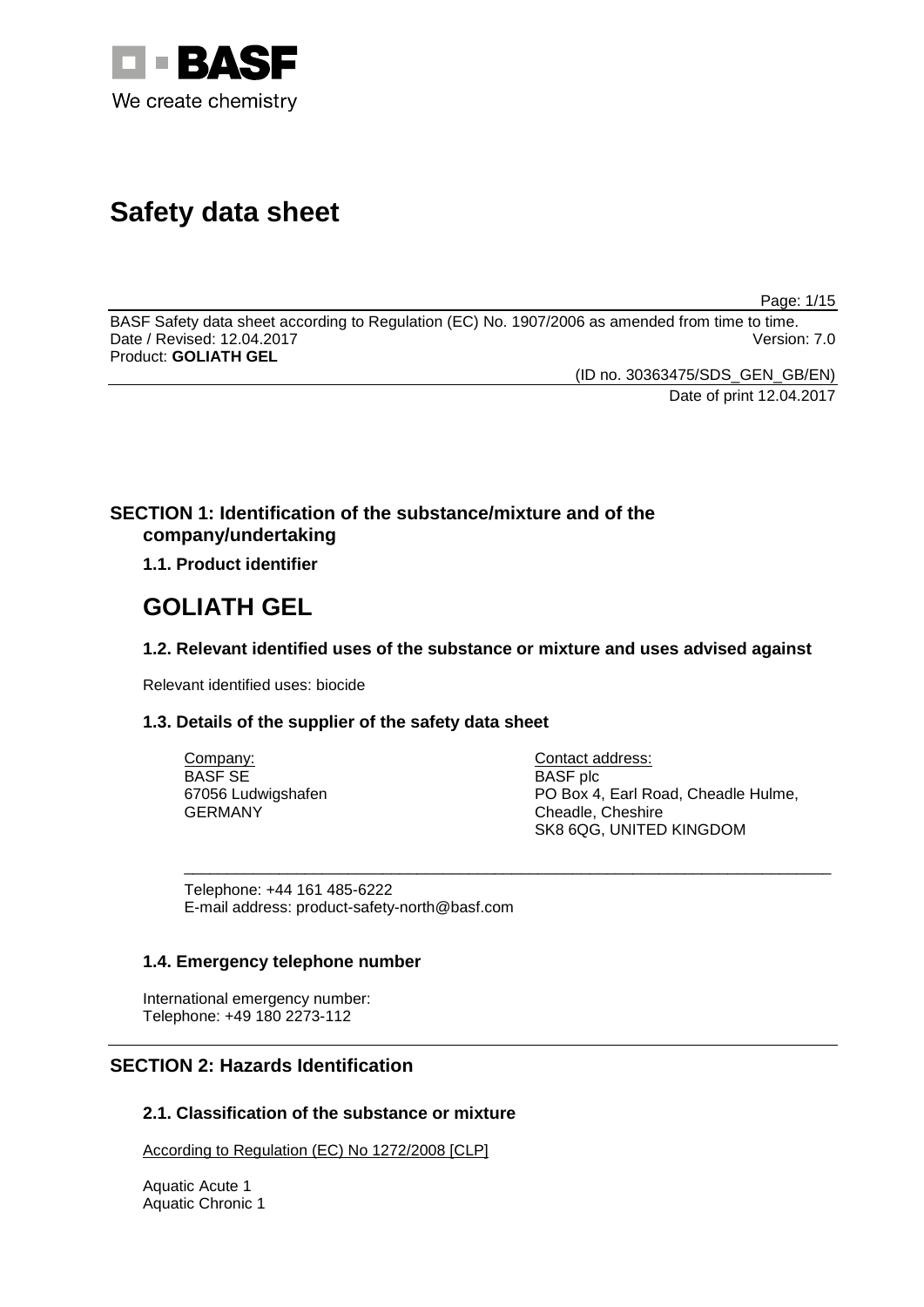

# **Safety data sheet**

Page: 1/15

BASF Safety data sheet according to Regulation (EC) No. 1907/2006 as amended from time to time. Date / Revised: 12.04.2017 Product: **GOLIATH GEL**

(ID no. 30363475/SDS\_GEN\_GB/EN)

Date of print 12.04.2017

# **SECTION 1: Identification of the substance/mixture and of the company/undertaking**

**1.1. Product identifier**

# **GOLIATH GEL**

# **1.2. Relevant identified uses of the substance or mixture and uses advised against**

\_\_\_\_\_\_\_\_\_\_\_\_\_\_\_\_\_\_\_\_\_\_\_\_\_\_\_\_\_\_\_\_\_\_\_\_\_\_\_\_\_\_\_\_\_\_\_\_\_\_\_\_\_\_\_\_\_\_\_\_\_\_\_\_\_\_\_\_\_\_\_\_\_\_\_

Relevant identified uses: biocide

# **1.3. Details of the supplier of the safety data sheet**

| Company:           |  |
|--------------------|--|
| <b>BASF SE</b>     |  |
| 67056 Ludwigshafen |  |
| GERMANY            |  |

Contact address: BASF plc PO Box 4, Earl Road, Cheadle Hulme, Cheadle, Cheshire SK8 6QG, UNITED KINGDOM

Telephone: +44 161 485-6222 E-mail address: product-safety-north@basf.com

# **1.4. Emergency telephone number**

International emergency number: Telephone: +49 180 2273-112

# **SECTION 2: Hazards Identification**

# **2.1. Classification of the substance or mixture**

According to Regulation (EC) No 1272/2008 [CLP]

Aquatic Acute 1 Aquatic Chronic 1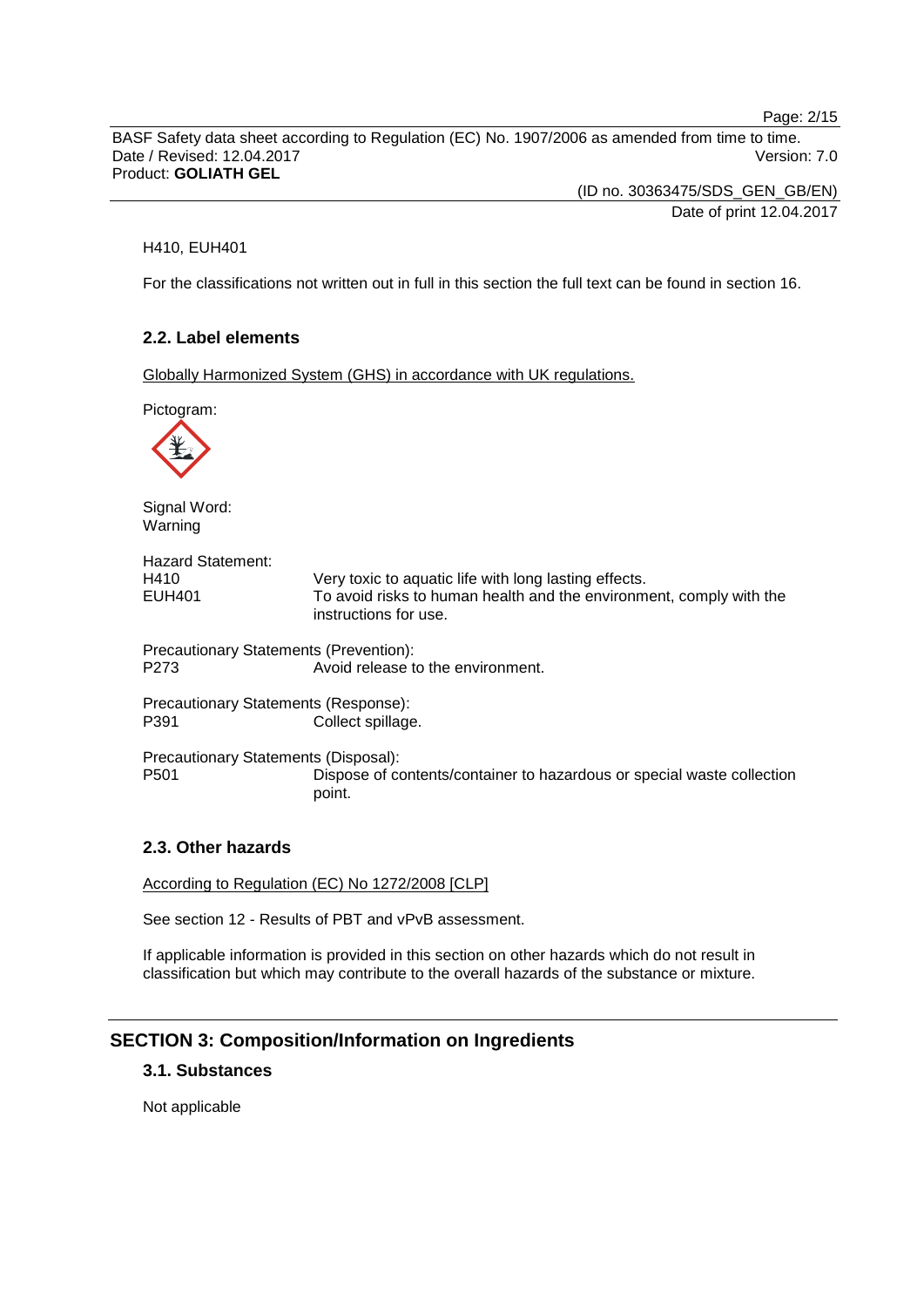Page: 2/15

BASF Safety data sheet according to Regulation (EC) No. 1907/2006 as amended from time to time. Date / Revised: 12.04.2017 Version: 7.0 Product: **GOLIATH GEL**

> (ID no. 30363475/SDS\_GEN\_GB/EN) Date of print 12.04.2017

## H410, EUH401

For the classifications not written out in full in this section the full text can be found in section 16.

## **2.2. Label elements**

Globally Harmonized System (GHS) in accordance with UK regulations.

Pictogram:



Signal Word: Warning

| <b>Hazard Statement:</b> |                                                                                              |
|--------------------------|----------------------------------------------------------------------------------------------|
| H410                     | Very toxic to aquatic life with long lasting effects.                                        |
| EUH401                   | To avoid risks to human health and the environment, comply with the<br>instructions for use. |
|                          | Precautionary Statements (Prevention):                                                       |

P273 Avoid release to the environment.

Precautionary Statements (Response):<br>P391 Collect spillage Collect spillage.

Precautionary Statements (Disposal): Dispose of contents/container to hazardous or special waste collection point.

## **2.3. Other hazards**

According to Regulation (EC) No 1272/2008 [CLP]

See section 12 - Results of PBT and vPvB assessment.

If applicable information is provided in this section on other hazards which do not result in classification but which may contribute to the overall hazards of the substance or mixture.

## **SECTION 3: Composition/Information on Ingredients**

## **3.1. Substances**

Not applicable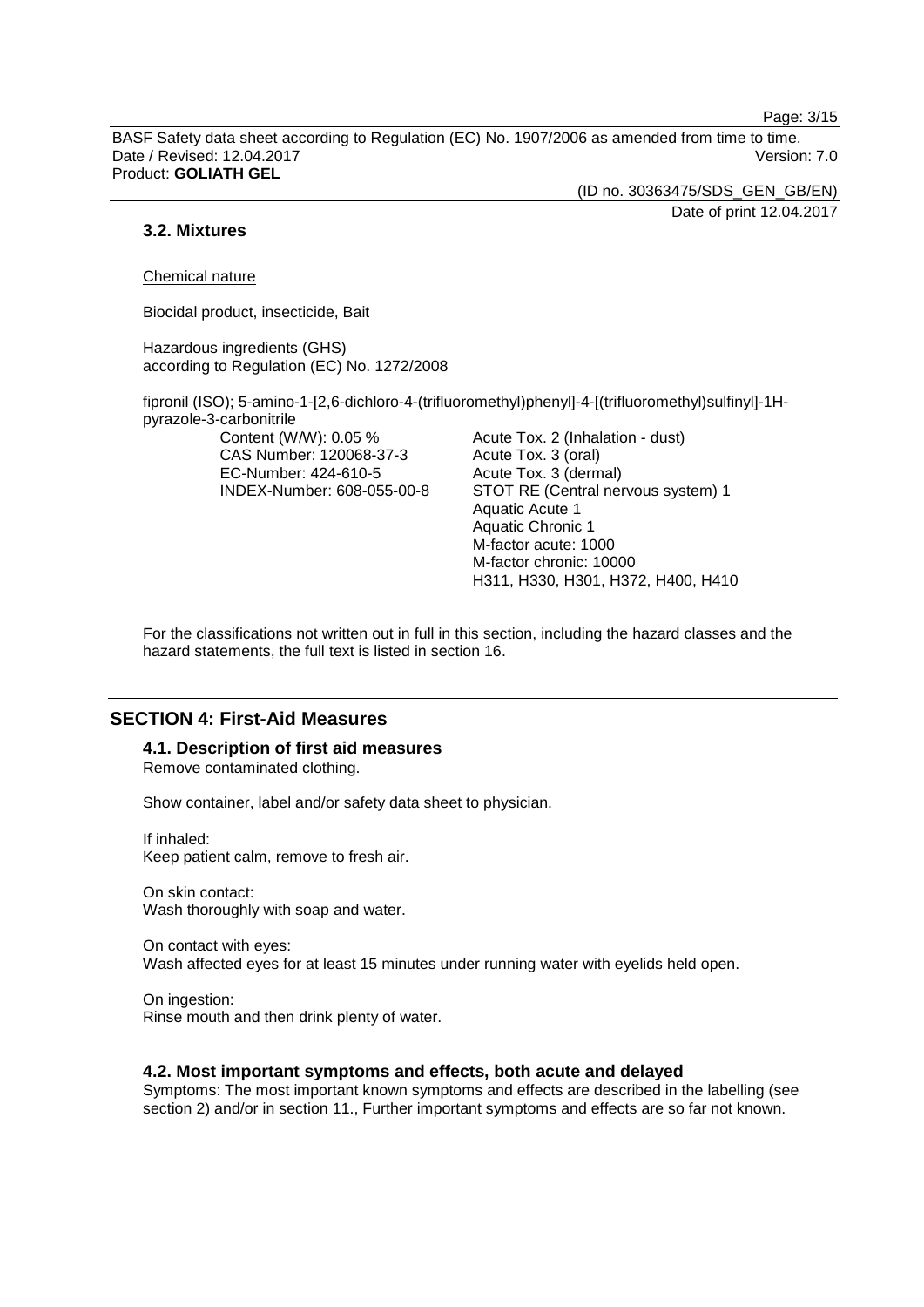Page: 3/15

BASF Safety data sheet according to Regulation (EC) No. 1907/2006 as amended from time to time. Date / Revised: 12.04.2017 Version: 7.0 Product: **GOLIATH GEL**

> (ID no. 30363475/SDS\_GEN\_GB/EN) Date of print 12.04.2017

## **3.2. Mixtures**

Chemical nature

Biocidal product, insecticide, Bait

Hazardous ingredients (GHS) according to Regulation (EC) No. 1272/2008

fipronil (ISO); 5-amino-1-[2,6-dichloro-4-(trifluoromethyl)phenyl]-4-[(trifluoromethyl)sulfinyl]-1Hpyrazole-3-carbonitrile

Content (W/W): 0.05 % CAS Number: 120068-37-3 EC-Number: 424-610-5 INDEX-Number: 608-055-00-8 Acute Tox. 2 (Inhalation - dust) Acute Tox. 3 (oral) Acute Tox. 3 (dermal) STOT RE (Central nervous system) 1 Aquatic Acute 1 Aquatic Chronic 1 M-factor acute: 1000 M-factor chronic: 10000 H311, H330, H301, H372, H400, H410

For the classifications not written out in full in this section, including the hazard classes and the hazard statements, the full text is listed in section 16.

## **SECTION 4: First-Aid Measures**

**4.1. Description of first aid measures** Remove contaminated clothing.

Show container, label and/or safety data sheet to physician.

If inhaled: Keep patient calm, remove to fresh air.

On skin contact: Wash thoroughly with soap and water.

On contact with eyes: Wash affected eyes for at least 15 minutes under running water with eyelids held open.

On ingestion: Rinse mouth and then drink plenty of water.

#### **4.2. Most important symptoms and effects, both acute and delayed**

Symptoms: The most important known symptoms and effects are described in the labelling (see section 2) and/or in section 11., Further important symptoms and effects are so far not known.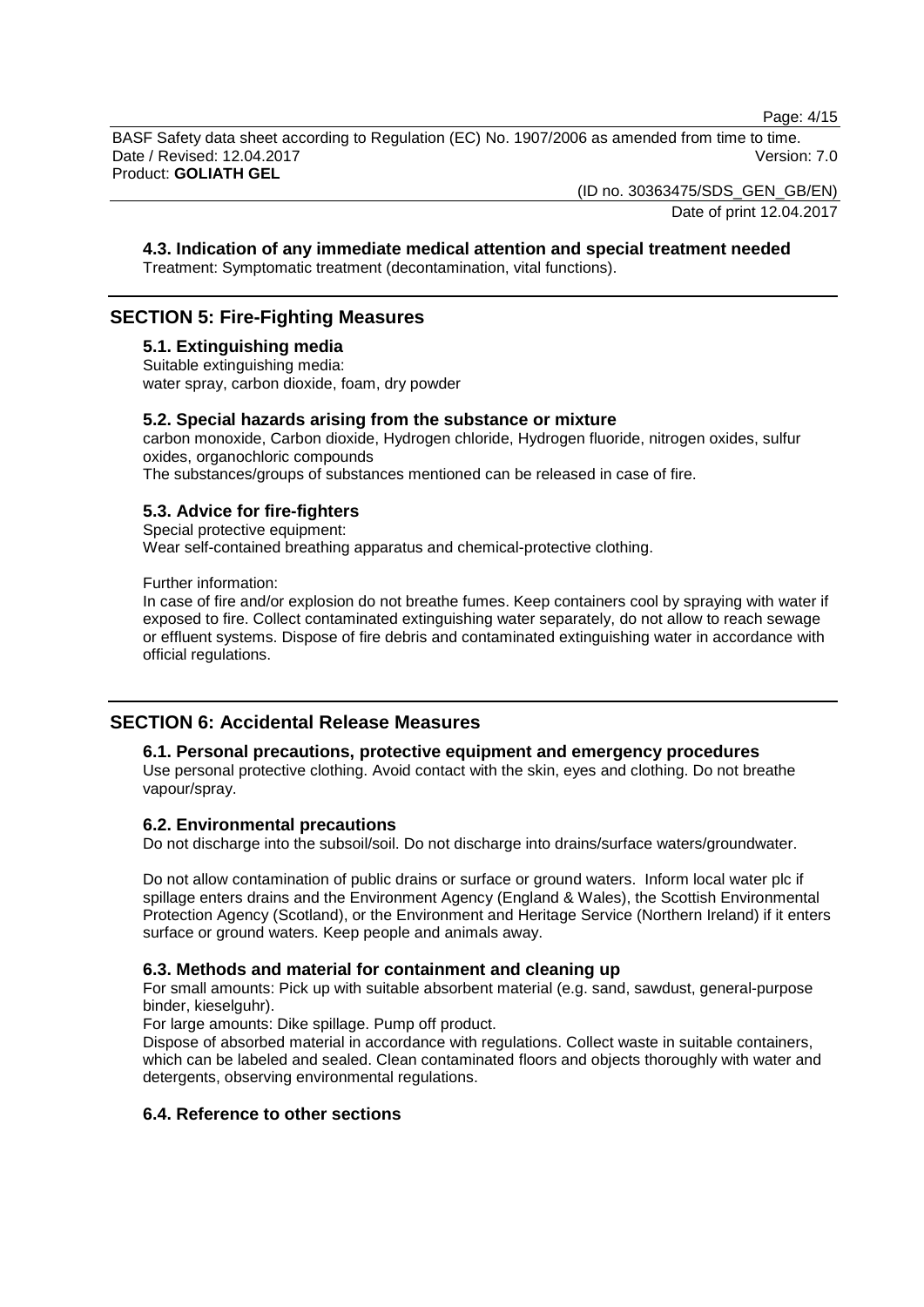Page: 4/15

BASF Safety data sheet according to Regulation (EC) No. 1907/2006 as amended from time to time. Date / Revised: 12.04.2017 Version: 7.0 Product: **GOLIATH GEL**

(ID no. 30363475/SDS\_GEN\_GB/EN)

Date of print 12.04.2017

### **4.3. Indication of any immediate medical attention and special treatment needed**

Treatment: Symptomatic treatment (decontamination, vital functions).

# **SECTION 5: Fire-Fighting Measures**

#### **5.1. Extinguishing media**

Suitable extinguishing media: water spray, carbon dioxide, foam, dry powder

#### **5.2. Special hazards arising from the substance or mixture**

carbon monoxide, Carbon dioxide, Hydrogen chloride, Hydrogen fluoride, nitrogen oxides, sulfur oxides, organochloric compounds

The substances/groups of substances mentioned can be released in case of fire.

## **5.3. Advice for fire-fighters**

Special protective equipment: Wear self-contained breathing apparatus and chemical-protective clothing.

Further information:

In case of fire and/or explosion do not breathe fumes. Keep containers cool by spraying with water if exposed to fire. Collect contaminated extinguishing water separately, do not allow to reach sewage or effluent systems. Dispose of fire debris and contaminated extinguishing water in accordance with official regulations.

## **SECTION 6: Accidental Release Measures**

#### **6.1. Personal precautions, protective equipment and emergency procedures**

Use personal protective clothing. Avoid contact with the skin, eyes and clothing. Do not breathe vapour/spray.

#### **6.2. Environmental precautions**

Do not discharge into the subsoil/soil. Do not discharge into drains/surface waters/groundwater.

Do not allow contamination of public drains or surface or ground waters. Inform local water plc if spillage enters drains and the Environment Agency (England & Wales), the Scottish Environmental Protection Agency (Scotland), or the Environment and Heritage Service (Northern Ireland) if it enters surface or ground waters. Keep people and animals away.

#### **6.3. Methods and material for containment and cleaning up**

For small amounts: Pick up with suitable absorbent material (e.g. sand, sawdust, general-purpose binder, kieselguhr).

For large amounts: Dike spillage. Pump off product.

Dispose of absorbed material in accordance with regulations. Collect waste in suitable containers, which can be labeled and sealed. Clean contaminated floors and objects thoroughly with water and detergents, observing environmental regulations.

# **6.4. Reference to other sections**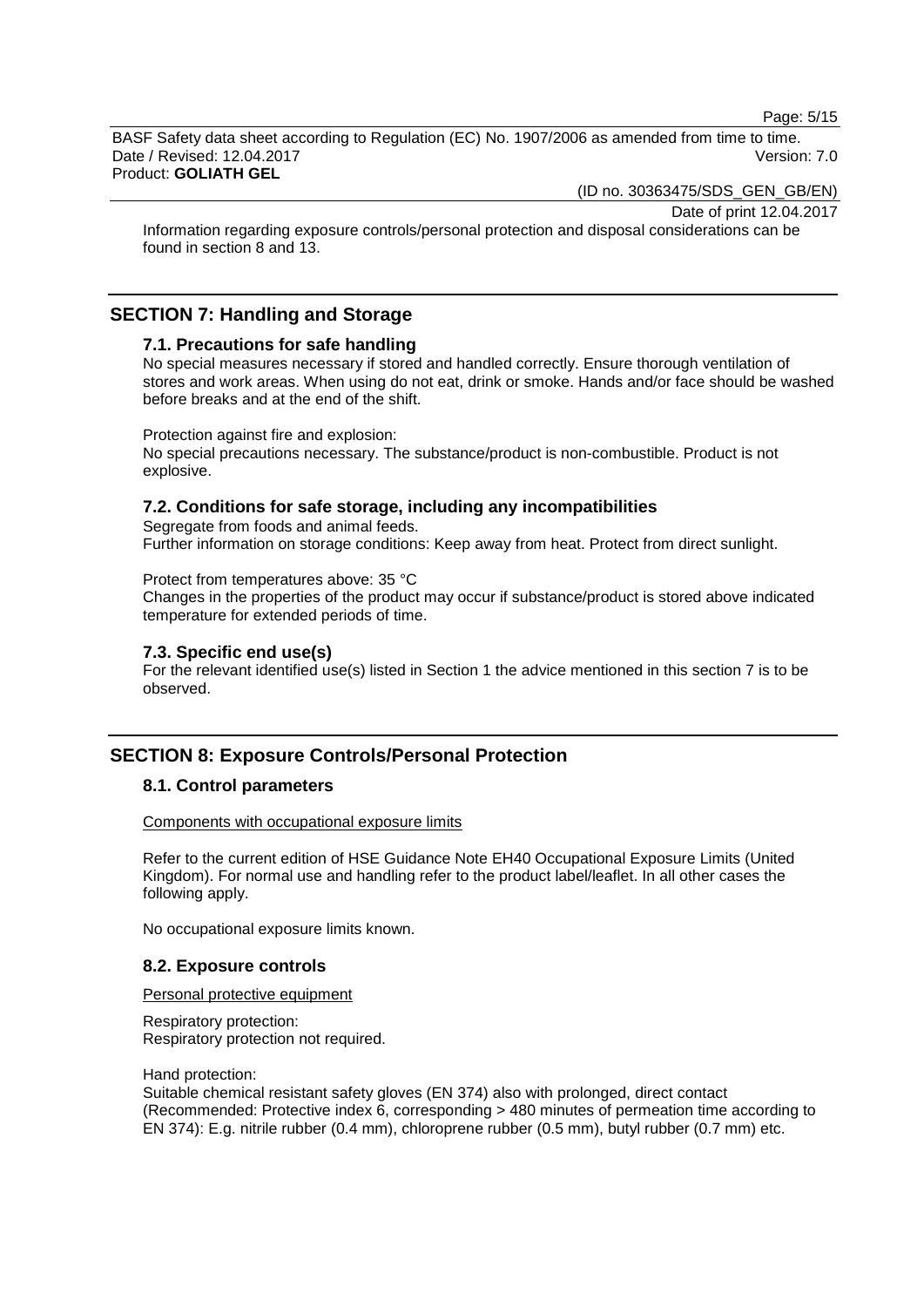Page: 5/15

BASF Safety data sheet according to Regulation (EC) No. 1907/2006 as amended from time to time. Date / Revised: 12.04.2017 Version: 7.0 Product: **GOLIATH GEL**

(ID no. 30363475/SDS\_GEN\_GB/EN)

Date of print 12.04.2017

Information regarding exposure controls/personal protection and disposal considerations can be found in section 8 and 13.

# **SECTION 7: Handling and Storage**

### **7.1. Precautions for safe handling**

No special measures necessary if stored and handled correctly. Ensure thorough ventilation of stores and work areas. When using do not eat, drink or smoke. Hands and/or face should be washed before breaks and at the end of the shift.

#### Protection against fire and explosion:

No special precautions necessary. The substance/product is non-combustible. Product is not explosive.

### **7.2. Conditions for safe storage, including any incompatibilities**

Segregate from foods and animal feeds. Further information on storage conditions: Keep away from heat. Protect from direct sunlight.

#### Protect from temperatures above: 35 °C

Changes in the properties of the product may occur if substance/product is stored above indicated temperature for extended periods of time.

### **7.3. Specific end use(s)**

For the relevant identified use(s) listed in Section 1 the advice mentioned in this section 7 is to be observed.

# **SECTION 8: Exposure Controls/Personal Protection**

#### **8.1. Control parameters**

#### Components with occupational exposure limits

Refer to the current edition of HSE Guidance Note EH40 Occupational Exposure Limits (United Kingdom). For normal use and handling refer to the product label/leaflet. In all other cases the following apply.

No occupational exposure limits known.

#### **8.2. Exposure controls**

Personal protective equipment

Respiratory protection: Respiratory protection not required.

Hand protection:

Suitable chemical resistant safety gloves (EN 374) also with prolonged, direct contact (Recommended: Protective index 6, corresponding > 480 minutes of permeation time according to EN 374): E.g. nitrile rubber (0.4 mm), chloroprene rubber (0.5 mm), butyl rubber (0.7 mm) etc.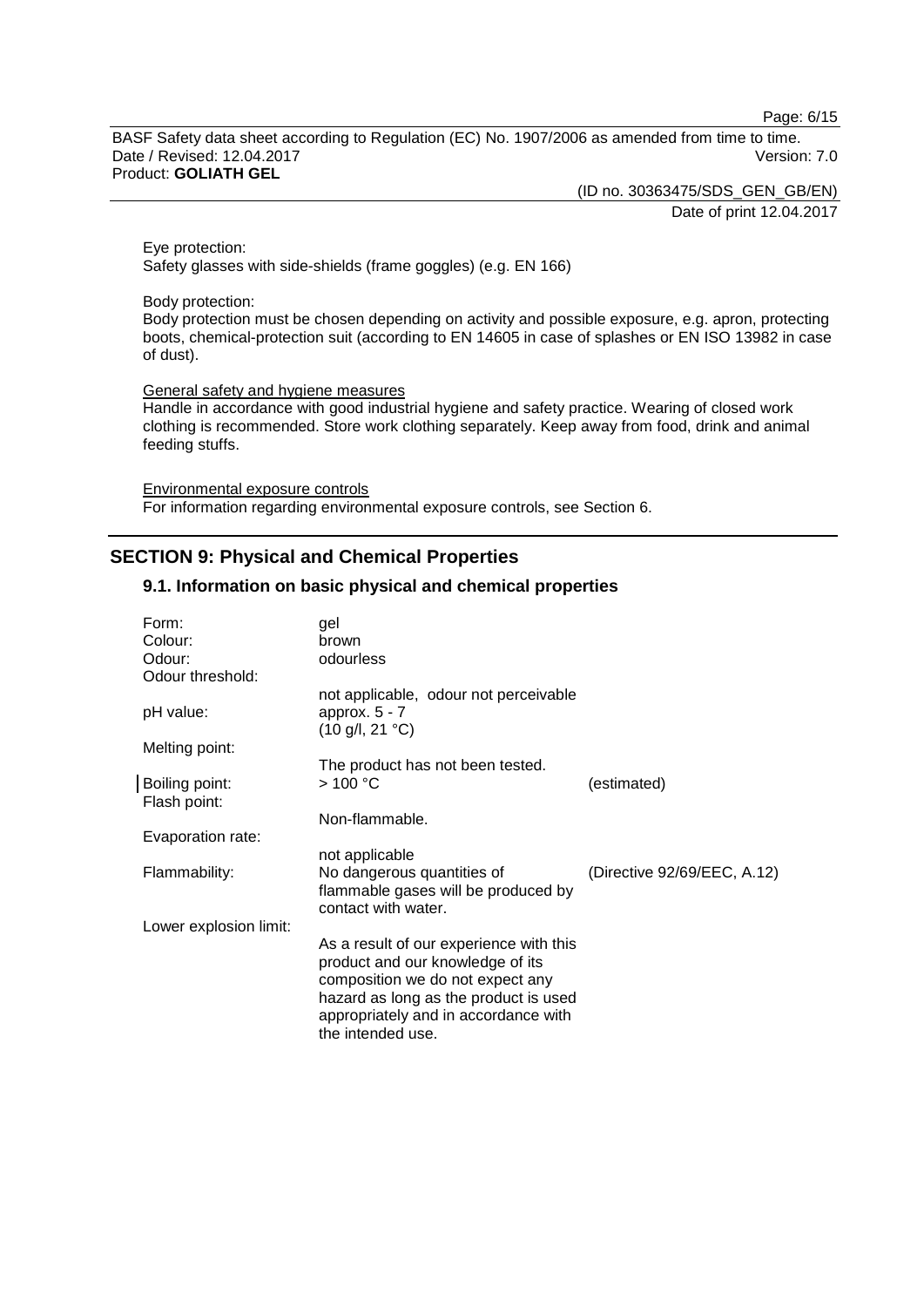Page: 6/15

BASF Safety data sheet according to Regulation (EC) No. 1907/2006 as amended from time to time. Date / Revised: 12.04.2017 Version: 7.0 Product: **GOLIATH GEL**

(ID no. 30363475/SDS\_GEN\_GB/EN)

Date of print 12.04.2017

Eye protection: Safety glasses with side-shields (frame goggles) (e.g. EN 166)

#### Body protection:

Body protection must be chosen depending on activity and possible exposure, e.g. apron, protecting boots, chemical-protection suit (according to EN 14605 in case of splashes or EN ISO 13982 in case of dust).

#### General safety and hygiene measures

Handle in accordance with good industrial hygiene and safety practice. Wearing of closed work clothing is recommended. Store work clothing separately. Keep away from food, drink and animal feeding stuffs.

Environmental exposure controls For information regarding environmental exposure controls, see Section 6.

# **SECTION 9: Physical and Chemical Properties**

### **9.1. Information on basic physical and chemical properties**

| Form:<br>Colour:               | gel<br>brown                                                                                                                                                                                     |                             |
|--------------------------------|--------------------------------------------------------------------------------------------------------------------------------------------------------------------------------------------------|-----------------------------|
| Odour:                         | odourless                                                                                                                                                                                        |                             |
| Odour threshold:               | not applicable, odour not perceivable                                                                                                                                                            |                             |
| pH value:                      | approx. $5 - 7$<br>$(10 \text{ g/l}, 21 \text{ °C})$                                                                                                                                             |                             |
| Melting point:                 |                                                                                                                                                                                                  |                             |
|                                | The product has not been tested.                                                                                                                                                                 |                             |
| Boiling point:<br>Flash point: | >100 °C                                                                                                                                                                                          | (estimated)                 |
|                                | Non-flammable.                                                                                                                                                                                   |                             |
| Evaporation rate:              |                                                                                                                                                                                                  |                             |
|                                | not applicable                                                                                                                                                                                   |                             |
| Flammability:                  | No dangerous quantities of<br>flammable gases will be produced by                                                                                                                                | (Directive 92/69/EEC, A.12) |
|                                | contact with water.                                                                                                                                                                              |                             |
| Lower explosion limit:         |                                                                                                                                                                                                  |                             |
|                                | As a result of our experience with this<br>product and our knowledge of its<br>composition we do not expect any<br>hazard as long as the product is used<br>appropriately and in accordance with |                             |
|                                | the intended use.                                                                                                                                                                                |                             |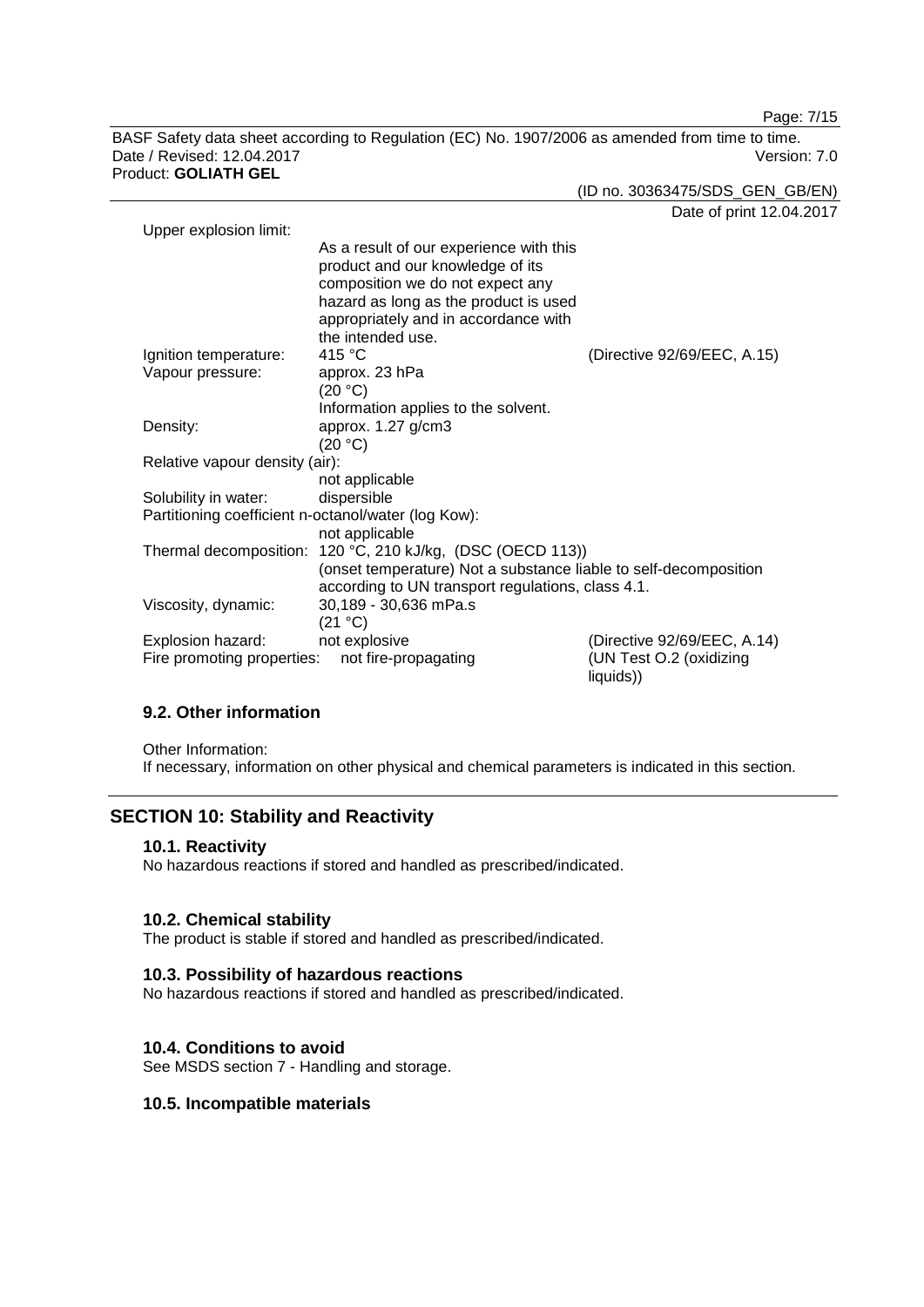Page: 7/15

BASF Safety data sheet according to Regulation (EC) No. 1907/2006 as amended from time to time. Date / Revised: 12.04.2017 Product: **GOLIATH GEL**

(ID no. 30363475/SDS\_GEN\_GB/EN)

Date of print 12.04.2017

| Upper explosion limit:                              |                                                                                                                                                                                                  |                                      |
|-----------------------------------------------------|--------------------------------------------------------------------------------------------------------------------------------------------------------------------------------------------------|--------------------------------------|
|                                                     | As a result of our experience with this<br>product and our knowledge of its<br>composition we do not expect any<br>hazard as long as the product is used<br>appropriately and in accordance with |                                      |
|                                                     | the intended use.                                                                                                                                                                                |                                      |
| Ignition temperature:                               | 415 °C                                                                                                                                                                                           | (Directive 92/69/EEC, A.15)          |
| Vapour pressure:                                    | approx. 23 hPa<br>(20 °C)                                                                                                                                                                        |                                      |
|                                                     | Information applies to the solvent.                                                                                                                                                              |                                      |
| Density:                                            | approx. 1.27 g/cm3                                                                                                                                                                               |                                      |
|                                                     | (20 °C)                                                                                                                                                                                          |                                      |
| Relative vapour density (air):                      |                                                                                                                                                                                                  |                                      |
|                                                     | not applicable                                                                                                                                                                                   |                                      |
| Solubility in water:                                | dispersible                                                                                                                                                                                      |                                      |
| Partitioning coefficient n-octanol/water (log Kow): |                                                                                                                                                                                                  |                                      |
|                                                     | not applicable                                                                                                                                                                                   |                                      |
|                                                     | Thermal decomposition: 120 °C, 210 kJ/kg, (DSC (OECD 113))                                                                                                                                       |                                      |
|                                                     | (onset temperature) Not a substance liable to self-decomposition                                                                                                                                 |                                      |
|                                                     | according to UN transport regulations, class 4.1.                                                                                                                                                |                                      |
| Viscosity, dynamic:                                 | 30,189 - 30,636 mPa.s                                                                                                                                                                            |                                      |
|                                                     | (21 °C)                                                                                                                                                                                          |                                      |
| Explosion hazard:                                   | not explosive                                                                                                                                                                                    | (Directive 92/69/EEC, A.14)          |
| Fire promoting properties:                          | not fire-propagating                                                                                                                                                                             | (UN Test O.2 (oxidizing<br>liquids)) |

# **9.2. Other information**

Other Information: If necessary, information on other physical and chemical parameters is indicated in this section.

# **SECTION 10: Stability and Reactivity**

## **10.1. Reactivity**

No hazardous reactions if stored and handled as prescribed/indicated.

## **10.2. Chemical stability**

The product is stable if stored and handled as prescribed/indicated.

## **10.3. Possibility of hazardous reactions**

No hazardous reactions if stored and handled as prescribed/indicated.

## **10.4. Conditions to avoid**

See MSDS section 7 - Handling and storage.

## **10.5. Incompatible materials**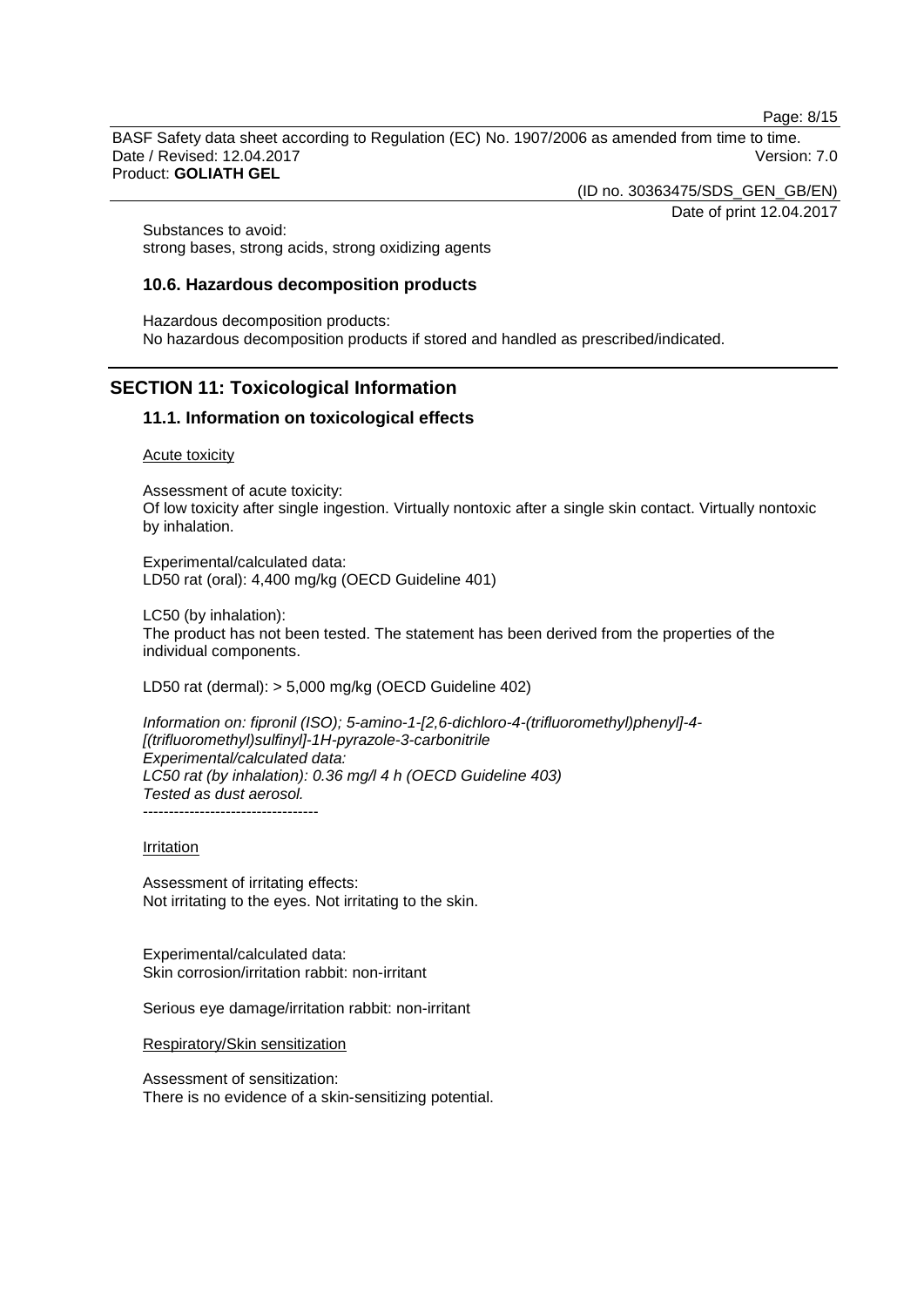Page: 8/15

BASF Safety data sheet according to Regulation (EC) No. 1907/2006 as amended from time to time. Date / Revised: 12.04.2017 Version: 7.0 Product: **GOLIATH GEL**

(ID no. 30363475/SDS\_GEN\_GB/EN)

Date of print 12.04.2017

Substances to avoid: strong bases, strong acids, strong oxidizing agents

## **10.6. Hazardous decomposition products**

Hazardous decomposition products: No hazardous decomposition products if stored and handled as prescribed/indicated.

# **SECTION 11: Toxicological Information**

## **11.1. Information on toxicological effects**

Acute toxicity

Assessment of acute toxicity: Of low toxicity after single ingestion. Virtually nontoxic after a single skin contact. Virtually nontoxic by inhalation.

Experimental/calculated data: LD50 rat (oral): 4,400 mg/kg (OECD Guideline 401)

LC50 (by inhalation): The product has not been tested. The statement has been derived from the properties of the individual components.

LD50 rat (dermal): > 5,000 mg/kg (OECD Guideline 402)

*Information on: fipronil (ISO); 5-amino-1-[2,6-dichloro-4-(trifluoromethyl)phenyl]-4- [(trifluoromethyl)sulfinyl]-1H-pyrazole-3-carbonitrile Experimental/calculated data: LC50 rat (by inhalation): 0.36 mg/l 4 h (OECD Guideline 403) Tested as dust aerosol.*

----------------------------------

Irritation

Assessment of irritating effects: Not irritating to the eyes. Not irritating to the skin.

Experimental/calculated data: Skin corrosion/irritation rabbit: non-irritant

Serious eye damage/irritation rabbit: non-irritant

Respiratory/Skin sensitization

Assessment of sensitization: There is no evidence of a skin-sensitizing potential.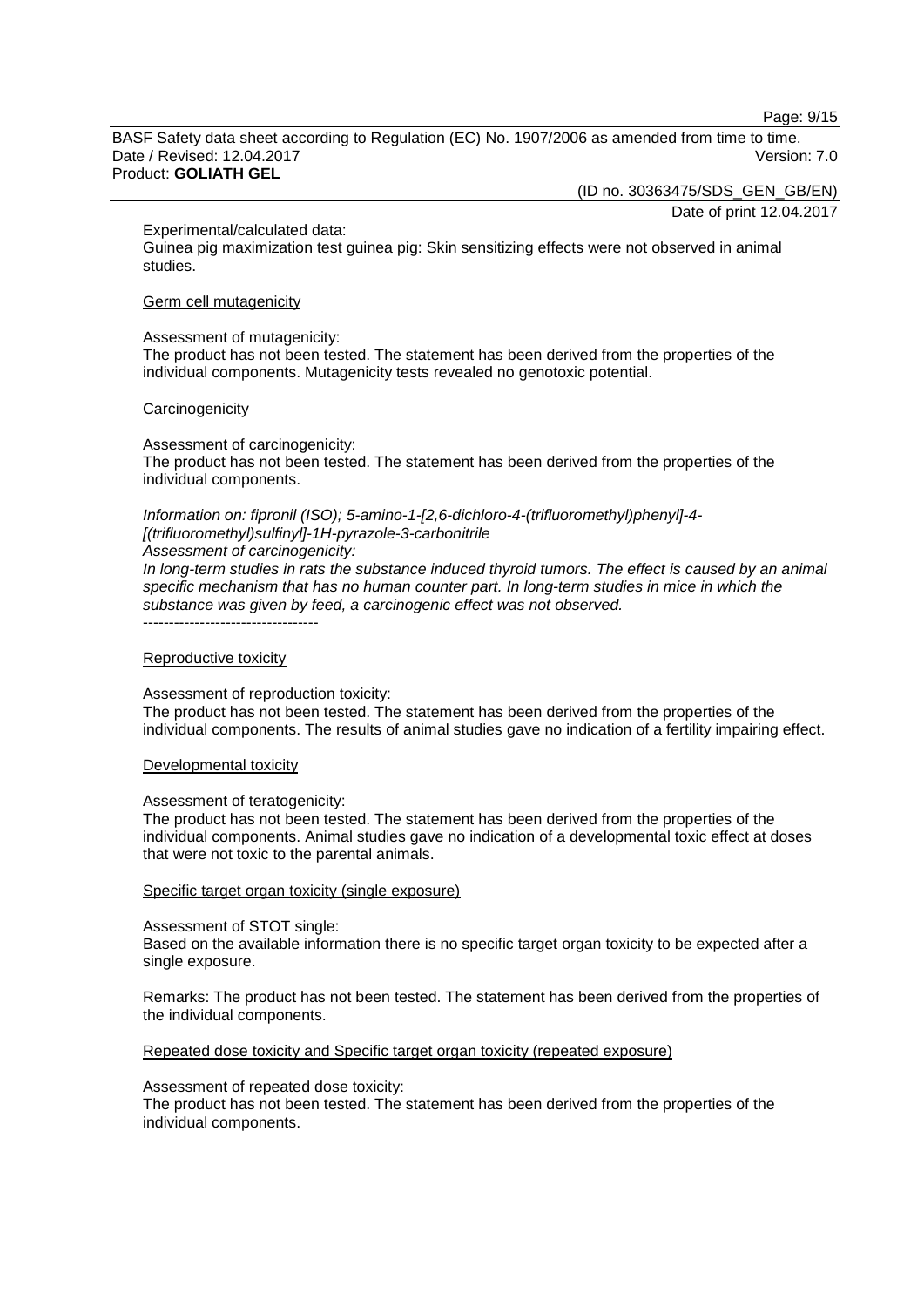Page: 9/15

BASF Safety data sheet according to Regulation (EC) No. 1907/2006 as amended from time to time. Date / Revised: 12.04.2017 Version: 7.0 Product: **GOLIATH GEL**

(ID no. 30363475/SDS\_GEN\_GB/EN)

Date of print 12.04.2017

Experimental/calculated data:

Guinea pig maximization test guinea pig: Skin sensitizing effects were not observed in animal studies.

#### Germ cell mutagenicity

Assessment of mutagenicity:

The product has not been tested. The statement has been derived from the properties of the individual components. Mutagenicity tests revealed no genotoxic potential.

#### **Carcinogenicity**

Assessment of carcinogenicity: The product has not been tested. The statement has been derived from the properties of the individual components.

*Information on: fipronil (ISO); 5-amino-1-[2,6-dichloro-4-(trifluoromethyl)phenyl]-4- [(trifluoromethyl)sulfinyl]-1H-pyrazole-3-carbonitrile*

*Assessment of carcinogenicity:*

*In long-term studies in rats the substance induced thyroid tumors. The effect is caused by an animal specific mechanism that has no human counter part. In long-term studies in mice in which the substance was given by feed, a carcinogenic effect was not observed.* ----------------------------------

#### Reproductive toxicity

Assessment of reproduction toxicity:

The product has not been tested. The statement has been derived from the properties of the individual components. The results of animal studies gave no indication of a fertility impairing effect.

#### Developmental toxicity

#### Assessment of teratogenicity:

The product has not been tested. The statement has been derived from the properties of the individual components. Animal studies gave no indication of a developmental toxic effect at doses that were not toxic to the parental animals.

#### Specific target organ toxicity (single exposure)

#### Assessment of STOT single:

Based on the available information there is no specific target organ toxicity to be expected after a single exposure.

Remarks: The product has not been tested. The statement has been derived from the properties of the individual components.

#### Repeated dose toxicity and Specific target organ toxicity (repeated exposure)

#### Assessment of repeated dose toxicity:

The product has not been tested. The statement has been derived from the properties of the individual components.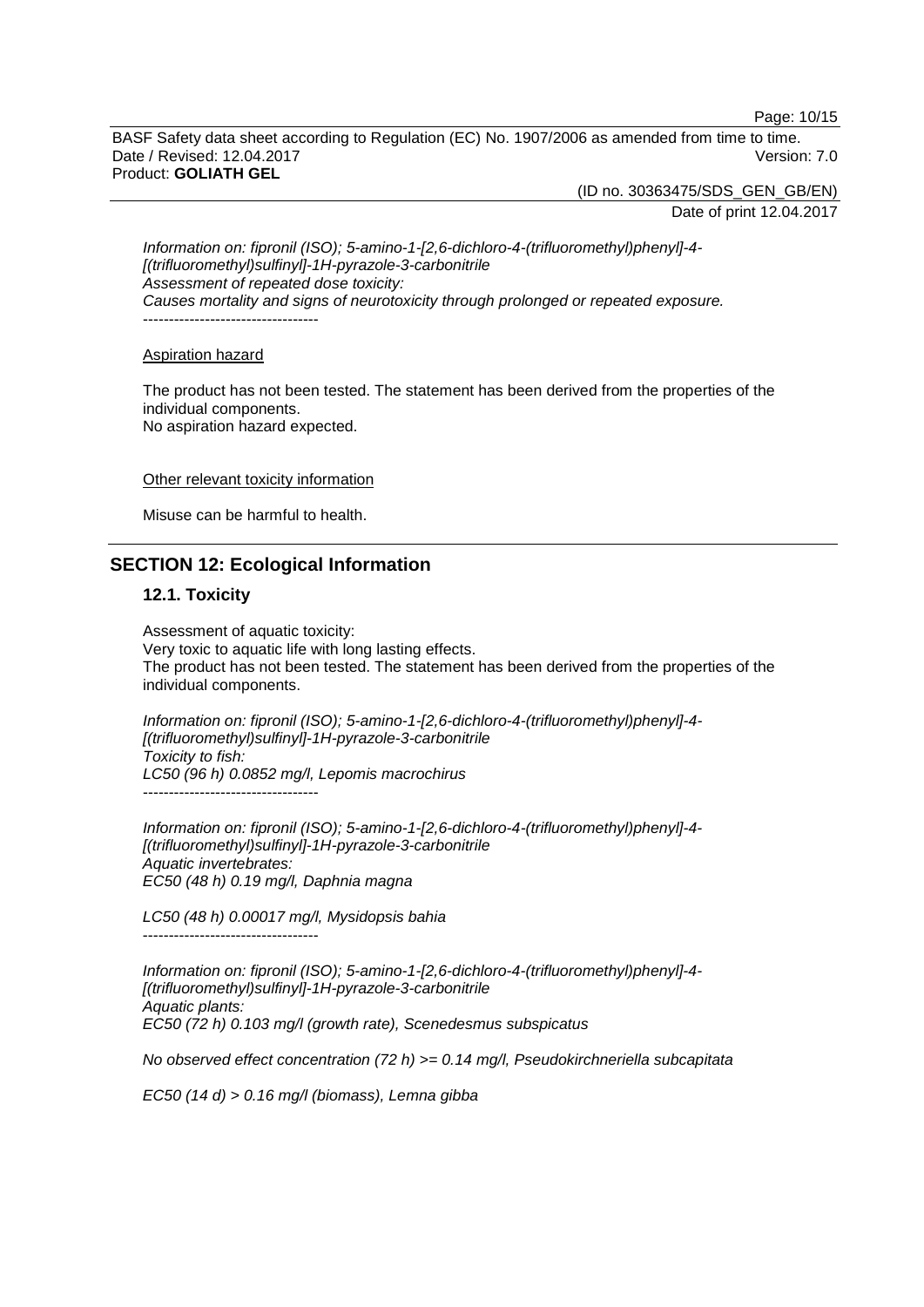Page: 10/15

BASF Safety data sheet according to Regulation (EC) No. 1907/2006 as amended from time to time. Date / Revised: 12.04.2017 Version: 7.0 Product: **GOLIATH GEL**

(ID no. 30363475/SDS\_GEN\_GB/EN)

Date of print 12.04.2017

*Information on: fipronil (ISO); 5-amino-1-[2,6-dichloro-4-(trifluoromethyl)phenyl]-4- [(trifluoromethyl)sulfinyl]-1H-pyrazole-3-carbonitrile Assessment of repeated dose toxicity: Causes mortality and signs of neurotoxicity through prolonged or repeated exposure.* ----------------------------------

Aspiration hazard

The product has not been tested. The statement has been derived from the properties of the individual components. No aspiration hazard expected.

Other relevant toxicity information

Misuse can be harmful to health.

# **SECTION 12: Ecological Information**

### **12.1. Toxicity**

Assessment of aquatic toxicity: Very toxic to aquatic life with long lasting effects. The product has not been tested. The statement has been derived from the properties of the individual components.

*Information on: fipronil (ISO); 5-amino-1-[2,6-dichloro-4-(trifluoromethyl)phenyl]-4- [(trifluoromethyl)sulfinyl]-1H-pyrazole-3-carbonitrile Toxicity to fish: LC50 (96 h) 0.0852 mg/l, Lepomis macrochirus* ----------------------------------

*Information on: fipronil (ISO); 5-amino-1-[2,6-dichloro-4-(trifluoromethyl)phenyl]-4- [(trifluoromethyl)sulfinyl]-1H-pyrazole-3-carbonitrile Aquatic invertebrates: EC50 (48 h) 0.19 mg/l, Daphnia magna*

*LC50 (48 h) 0.00017 mg/l, Mysidopsis bahia* ----------------------------------

*Information on: fipronil (ISO); 5-amino-1-[2,6-dichloro-4-(trifluoromethyl)phenyl]-4- [(trifluoromethyl)sulfinyl]-1H-pyrazole-3-carbonitrile Aquatic plants: EC50 (72 h) 0.103 mg/l (growth rate), Scenedesmus subspicatus*

*No observed effect concentration (72 h) >= 0.14 mg/l, Pseudokirchneriella subcapitata*

*EC50 (14 d) > 0.16 mg/l (biomass), Lemna gibba*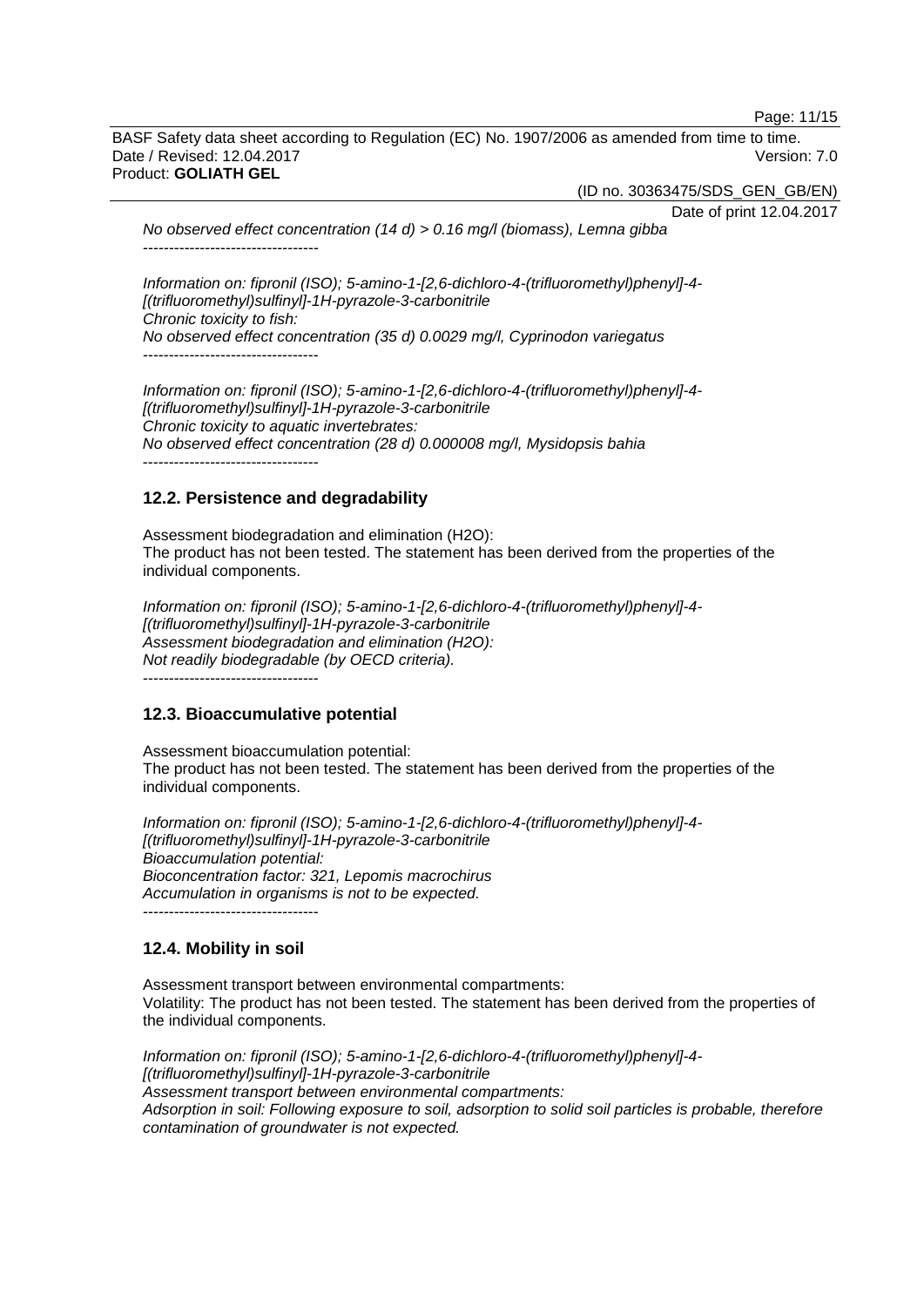Page: 11/15

BASF Safety data sheet according to Regulation (EC) No. 1907/2006 as amended from time to time. Date / Revised: 12.04.2017 Version: 7.0 Product: **GOLIATH GEL**

(ID no. 30363475/SDS\_GEN\_GB/EN)

Date of print 12.04.2017 *No observed effect concentration (14 d) > 0.16 mg/l (biomass), Lemna gibba* ----------------------------------

*Information on: fipronil (ISO); 5-amino-1-[2,6-dichloro-4-(trifluoromethyl)phenyl]-4- [(trifluoromethyl)sulfinyl]-1H-pyrazole-3-carbonitrile Chronic toxicity to fish: No observed effect concentration (35 d) 0.0029 mg/l, Cyprinodon variegatus* ----------------------------------

*Information on: fipronil (ISO); 5-amino-1-[2,6-dichloro-4-(trifluoromethyl)phenyl]-4- [(trifluoromethyl)sulfinyl]-1H-pyrazole-3-carbonitrile Chronic toxicity to aquatic invertebrates: No observed effect concentration (28 d) 0.000008 mg/l, Mysidopsis bahia* ----------------------------------

# **12.2. Persistence and degradability**

Assessment biodegradation and elimination (H2O): The product has not been tested. The statement has been derived from the properties of the individual components.

*Information on: fipronil (ISO); 5-amino-1-[2,6-dichloro-4-(trifluoromethyl)phenyl]-4- [(trifluoromethyl)sulfinyl]-1H-pyrazole-3-carbonitrile Assessment biodegradation and elimination (H2O): Not readily biodegradable (by OECD criteria).* ----------------------------------

## **12.3. Bioaccumulative potential**

Assessment bioaccumulation potential: The product has not been tested. The statement has been derived from the properties of the individual components.

*Information on: fipronil (ISO); 5-amino-1-[2,6-dichloro-4-(trifluoromethyl)phenyl]-4- [(trifluoromethyl)sulfinyl]-1H-pyrazole-3-carbonitrile Bioaccumulation potential: Bioconcentration factor: 321, Lepomis macrochirus Accumulation in organisms is not to be expected.* ----------------------------------

# **12.4. Mobility in soil**

Assessment transport between environmental compartments: Volatility: The product has not been tested. The statement has been derived from the properties of the individual components.

*Information on: fipronil (ISO); 5-amino-1-[2,6-dichloro-4-(trifluoromethyl)phenyl]-4- [(trifluoromethyl)sulfinyl]-1H-pyrazole-3-carbonitrile Assessment transport between environmental compartments: Adsorption in soil: Following exposure to soil, adsorption to solid soil particles is probable, therefore contamination of groundwater is not expected.*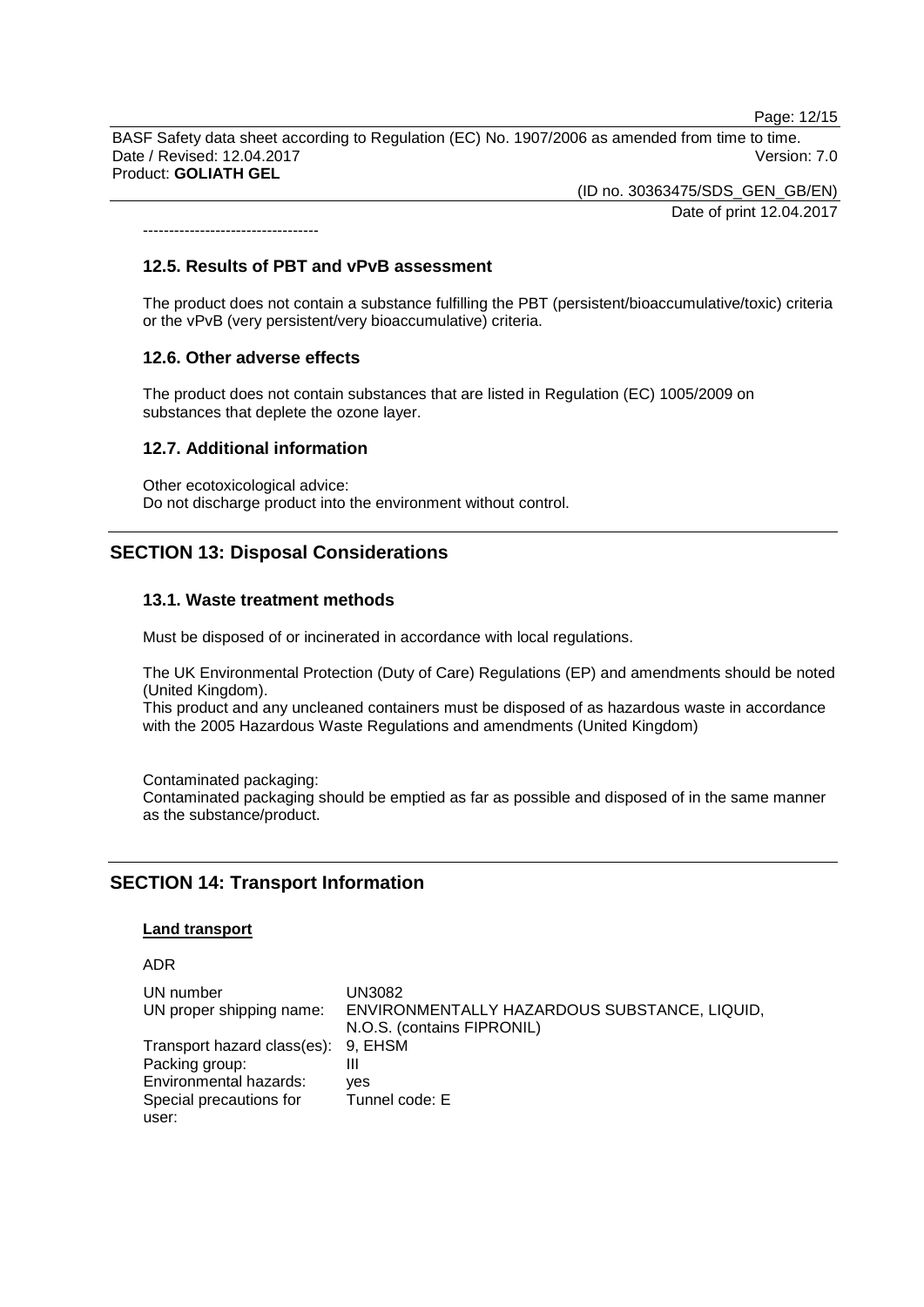Page: 12/15

BASF Safety data sheet according to Regulation (EC) No. 1907/2006 as amended from time to time. Date / Revised: 12.04.2017 Version: 7.0 Product: **GOLIATH GEL**

> (ID no. 30363475/SDS\_GEN\_GB/EN) Date of print 12.04.2017

----------------------------------

#### **12.5. Results of PBT and vPvB assessment**

The product does not contain a substance fulfilling the PBT (persistent/bioaccumulative/toxic) criteria or the vPvB (very persistent/very bioaccumulative) criteria.

### **12.6. Other adverse effects**

The product does not contain substances that are listed in Regulation (EC) 1005/2009 on substances that deplete the ozone layer.

### **12.7. Additional information**

Other ecotoxicological advice: Do not discharge product into the environment without control.

# **SECTION 13: Disposal Considerations**

### **13.1. Waste treatment methods**

Must be disposed of or incinerated in accordance with local regulations.

The UK Environmental Protection (Duty of Care) Regulations (EP) and amendments should be noted (United Kingdom).

This product and any uncleaned containers must be disposed of as hazardous waste in accordance with the 2005 Hazardous Waste Regulations and amendments (United Kingdom)

Contaminated packaging:

Contaminated packaging should be emptied as far as possible and disposed of in the same manner as the substance/product.

# **SECTION 14: Transport Information**

#### **Land transport**

ADR

| UN number                           | UN3082                                       |
|-------------------------------------|----------------------------------------------|
| UN proper shipping name:            | ENVIRONMENTALLY HAZARDOUS SUBSTANCE, LIQUID, |
|                                     | N.O.S. (contains FIPRONIL)                   |
| Transport hazard class(es): 9, EHSM |                                              |
| Packing group:                      | Ш                                            |
| Environmental hazards:              | ves                                          |
| Special precautions for             | Tunnel code: E                               |
| user:                               |                                              |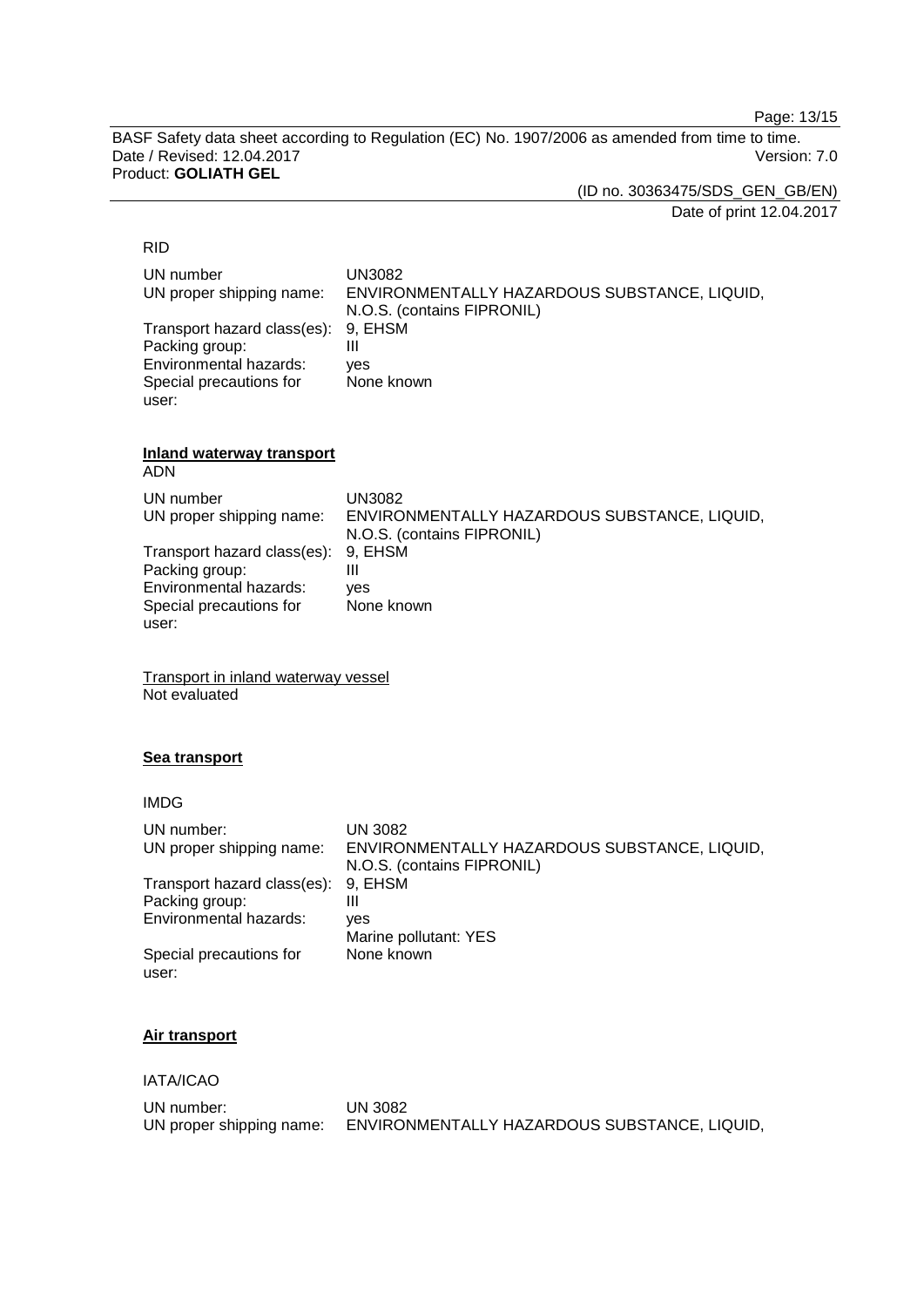Page: 13/15

BASF Safety data sheet according to Regulation (EC) No. 1907/2006 as amended from time to time. Date / Revised: 12.04.2017 Product: **GOLIATH GEL**

(ID no. 30363475/SDS\_GEN\_GB/EN)

Date of print 12.04.2017

# RID

| UN number                           | UN3082                                       |
|-------------------------------------|----------------------------------------------|
| UN proper shipping name:            | ENVIRONMENTALLY HAZARDOUS SUBSTANCE, LIQUID, |
|                                     | N.O.S. (contains FIPRONIL)                   |
| Transport hazard class(es): 9, EHSM |                                              |
| Packing group:                      | Ш                                            |
| Environmental hazards:              | ves                                          |
| Special precautions for             | None known                                   |
| user:                               |                                              |

## **Inland waterway transport**

ADN

| UN number                           | UN3082                                       |
|-------------------------------------|----------------------------------------------|
| UN proper shipping name:            | ENVIRONMENTALLY HAZARDOUS SUBSTANCE, LIQUID, |
|                                     | N.O.S. (contains FIPRONIL)                   |
| Transport hazard class(es): 9, EHSM |                                              |
| Packing group:                      | Ш                                            |
| Environmental hazards:              | ves                                          |
| Special precautions for             | None known                                   |
| user:                               |                                              |

Transport in inland waterway vessel Not evaluated

## **Sea transport**

IMDG

| UN number:<br>UN proper shipping name: | UN 3082<br>ENVIRONMENTALLY HAZARDOUS SUBSTANCE, LIQUID,<br>N.O.S. (contains FIPRONIL) |
|----------------------------------------|---------------------------------------------------------------------------------------|
| Transport hazard class(es):            | 9. EHSM                                                                               |
| Packing group:                         | Ш                                                                                     |
| Environmental hazards:                 | ves                                                                                   |
|                                        | Marine pollutant: YES                                                                 |
| Special precautions for<br>user:       | None known                                                                            |

# **Air transport**

IATA/ICAO

| UN number:               | UN 3082                                      |
|--------------------------|----------------------------------------------|
| UN proper shipping name: | ENVIRONMENTALLY HAZARDOUS SUBSTANCE, LIQUID, |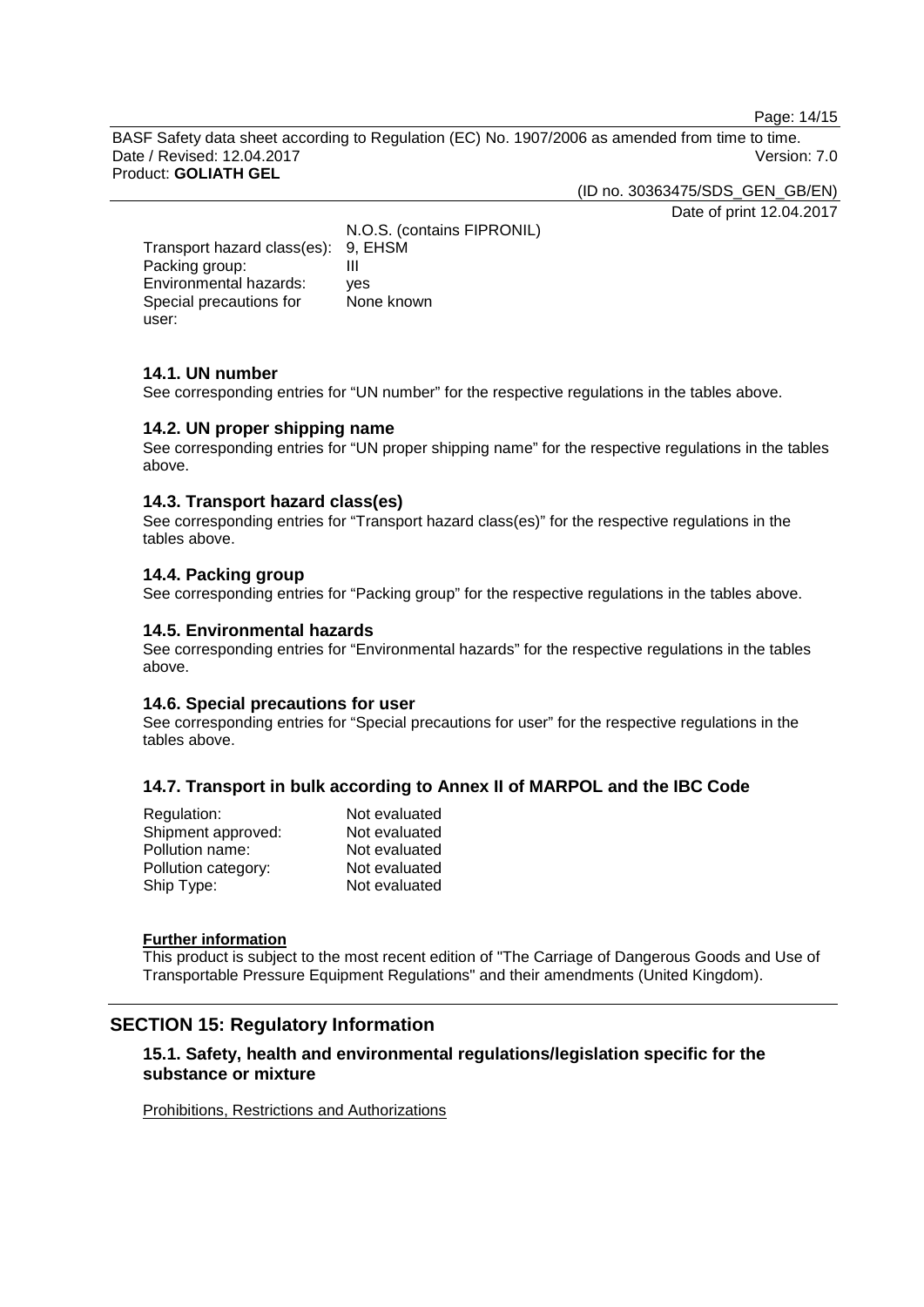Page: 14/15

BASF Safety data sheet according to Regulation (EC) No. 1907/2006 as amended from time to time. Date / Revised: 12.04.2017 Version: 7.0 Product: **GOLIATH GEL**

(ID no. 30363475/SDS\_GEN\_GB/EN)

Date of print 12.04.2017

N.O.S. (contains FIPRONIL) Transport hazard class(es): 9, EHSM<br>Packing group: III Packing group: III<br>Environmental hazards: ves Environmental hazards: Special precautions for user: None known

# **14.1. UN number**

See corresponding entries for "UN number" for the respective regulations in the tables above.

## **14.2. UN proper shipping name**

See corresponding entries for "UN proper shipping name" for the respective regulations in the tables above.

### **14.3. Transport hazard class(es)**

See corresponding entries for "Transport hazard class(es)" for the respective regulations in the tables above.

### **14.4. Packing group**

See corresponding entries for "Packing group" for the respective regulations in the tables above.

### **14.5. Environmental hazards**

See corresponding entries for "Environmental hazards" for the respective regulations in the tables above.

#### **14.6. Special precautions for user**

See corresponding entries for "Special precautions for user" for the respective regulations in the tables above.

## **14.7. Transport in bulk according to Annex II of MARPOL and the IBC Code**

| Not evaluated |
|---------------|
| Not evaluated |
| Not evaluated |
| Not evaluated |
| Not evaluated |
|               |

#### **Further information**

This product is subject to the most recent edition of "The Carriage of Dangerous Goods and Use of Transportable Pressure Equipment Regulations" and their amendments (United Kingdom).

# **SECTION 15: Regulatory Information**

# **15.1. Safety, health and environmental regulations/legislation specific for the substance or mixture**

Prohibitions, Restrictions and Authorizations